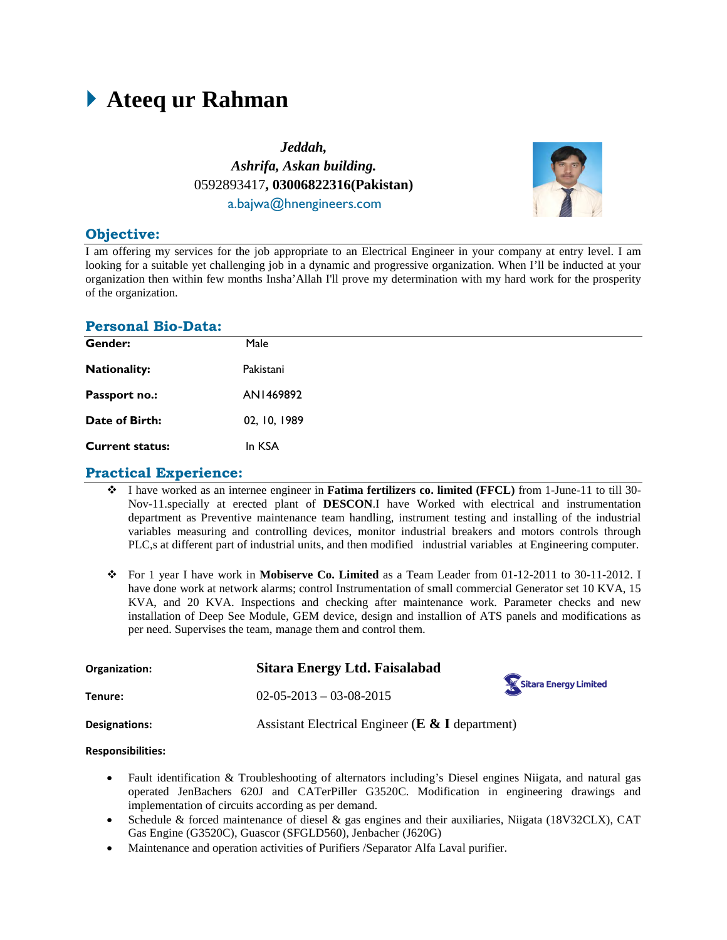# **Ateeq ur Rahman**

*Jeddah, Ashrifa, Askan building.* 0592893417**, 03006822316(Pakistan)** a.bajwa@hnengineers.com



# **Objective:**

I am offering my services for the job appropriate to an Electrical Engineer in your company at entry level. I am looking for a suitable yet challenging job in a dynamic and progressive organization. When I'll be inducted at your organization then within few months Insha'Allah I'll prove my determination with my hard work for the prosperity of the organization.

#### **Personal Bio-Data:**

| Gender:                | Male         |
|------------------------|--------------|
| <b>Nationality:</b>    | Pakistani    |
| Passport no.:          | AN1469892    |
| Date of Birth:         | 02, 10, 1989 |
| <b>Current status:</b> | In KSA       |

#### **Practical Experience:**

- I have worked as an internee engineer in **Fatima fertilizers co. limited (FFCL)** from 1-June-11 to till 30- Nov-11.specially at erected plant of **DESCON**.I have Worked with electrical and instrumentation department as Preventive maintenance team handling, instrument testing and installing of the industrial variables measuring and controlling devices, monitor industrial breakers and motors controls through PLC,s at different part of industrial units, and then modified industrial variables at Engineering computer.
- For 1 year I have work in **Mobiserve Co. Limited** as a Team Leader from 01-12-2011 to 30-11-2012. I have done work at network alarms; control Instrumentation of small commercial Generator set 10 KVA, 15 KVA, and 20 KVA. Inspections and checking after maintenance work. Parameter checks and new installation of Deep See Module, GEM device, design and installion of ATS panels and modifications as per need. Supervises the team, manage them and control them.

| Organization: | Sitara Energy Ltd. Faisalabad                        | Sitara Energy Limited |  |
|---------------|------------------------------------------------------|-----------------------|--|
| Tenure:       | $02-05-2013-03-08-2015$                              |                       |  |
| Designations: | Assistant Electrical Engineer ( $E \& I$ department) |                       |  |

#### **Responsibilities:**

- Fault identification & Troubleshooting of alternators including's Diesel engines Niigata, and natural gas operated JenBachers 620J and CATerPiller G3520C. Modification in engineering drawings and implementation of circuits according as per demand.
- Schedule & forced maintenance of diesel & gas engines and their auxiliaries, Niigata (18V32CLX), CAT Gas Engine (G3520C), Guascor (SFGLD560), Jenbacher (J620G)
- Maintenance and operation activities of Purifiers /Separator Alfa Laval purifier.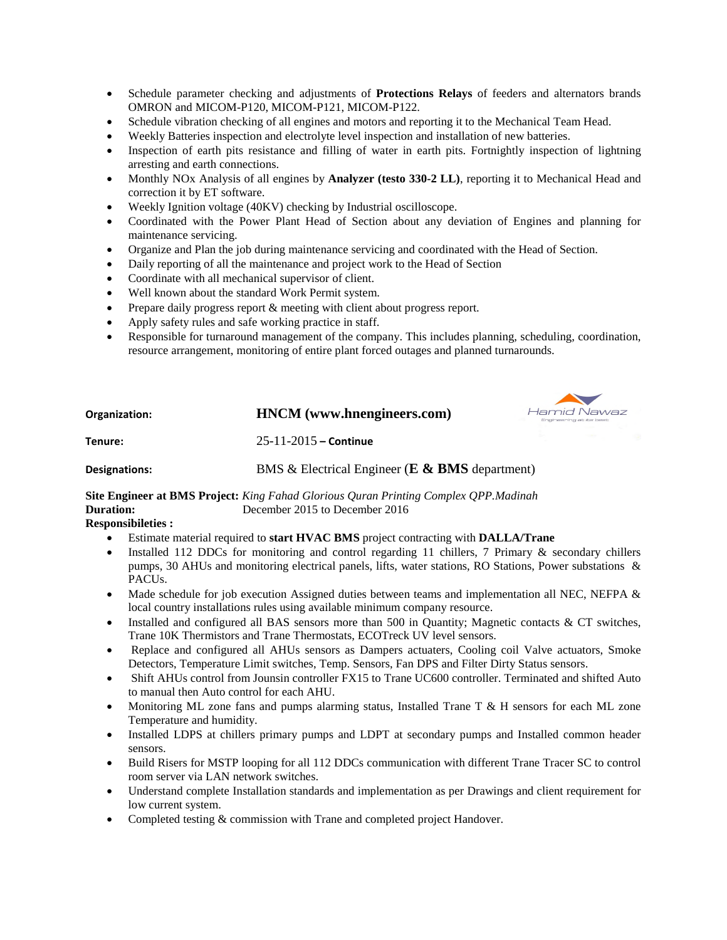- Schedule parameter checking and adjustments of **Protections Relays** of feeders and alternators brands OMRON and MICOM-P120, MICOM-P121, MICOM-P122.
- Schedule vibration checking of all engines and motors and reporting it to the Mechanical Team Head.
- Weekly Batteries inspection and electrolyte level inspection and installation of new batteries.
- Inspection of earth pits resistance and filling of water in earth pits. Fortnightly inspection of lightning arresting and earth connections.
- Monthly NOx Analysis of all engines by **Analyzer (testo 330-2 LL)**, reporting it to Mechanical Head and correction it by ET software.
- Weekly Ignition voltage (40KV) checking by Industrial oscilloscope.
- Coordinated with the Power Plant Head of Section about any deviation of Engines and planning for maintenance servicing.
- Organize and Plan the job during maintenance servicing and coordinated with the Head of Section.
- Daily reporting of all the maintenance and project work to the Head of Section
- Coordinate with all mechanical supervisor of client.
- Well known about the standard Work Permit system.
- Prepare daily progress report & meeting with client about progress report.
- Apply safety rules and safe working practice in staff.
- Responsible for turnaround management of the company. This includes planning, scheduling, coordination, resource arrangement, monitoring of entire plant forced outages and planned turnarounds.

 $\sim$ 

| Organization: | <b>HNCM</b> (www.hnengineers.com)                  | Engineering at its best | Hamid Nawaz       |  |
|---------------|----------------------------------------------------|-------------------------|-------------------|--|
| Tenure:       | $25 - 11 - 2015$ – Continue                        |                         | <b>CONTRACTOR</b> |  |
| Designations: | BMS & Electrical Engineer ( $E \& BMS$ department) |                         |                   |  |

**Site Engineer at BMS Project:** *King Fahad Glorious Quran Printing Complex QPP.Madinah* December 2015 to December 2016

**Responsibileties :**

- Estimate material required to **start HVAC BMS** project contracting with **DALLA/Trane**
- Installed 112 DDCs for monitoring and control regarding 11 chillers, 7 Primary & secondary chillers pumps, 30 AHUs and monitoring electrical panels, lifts, water stations, RO Stations, Power substations & PACUs.
- Made schedule for job execution Assigned duties between teams and implementation all NEC, NEFPA  $\&$ local country installations rules using available minimum company resource.
- $\bullet$  Installed and configured all BAS sensors more than 500 in Quantity; Magnetic contacts & CT switches, Trane 10K Thermistors and Trane Thermostats, ECOTreck UV level sensors.
- Replace and configured all AHUs sensors as Dampers actuaters, Cooling coil Valve actuators, Smoke Detectors, Temperature Limit switches, Temp. Sensors, Fan DPS and Filter Dirty Status sensors.
- Shift AHUs control from Jounsin controller FX15 to Trane UC600 controller. Terminated and shifted Auto to manual then Auto control for each AHU.
- Monitoring ML zone fans and pumps alarming status, Installed Trane T & H sensors for each ML zone Temperature and humidity.
- Installed LDPS at chillers primary pumps and LDPT at secondary pumps and Installed common header sensors.
- Build Risers for MSTP looping for all 112 DDCs communication with different Trane Tracer SC to control room server via LAN network switches.
- Understand complete Installation standards and implementation as per Drawings and client requirement for low current system.
- Completed testing & commission with Trane and completed project Handover.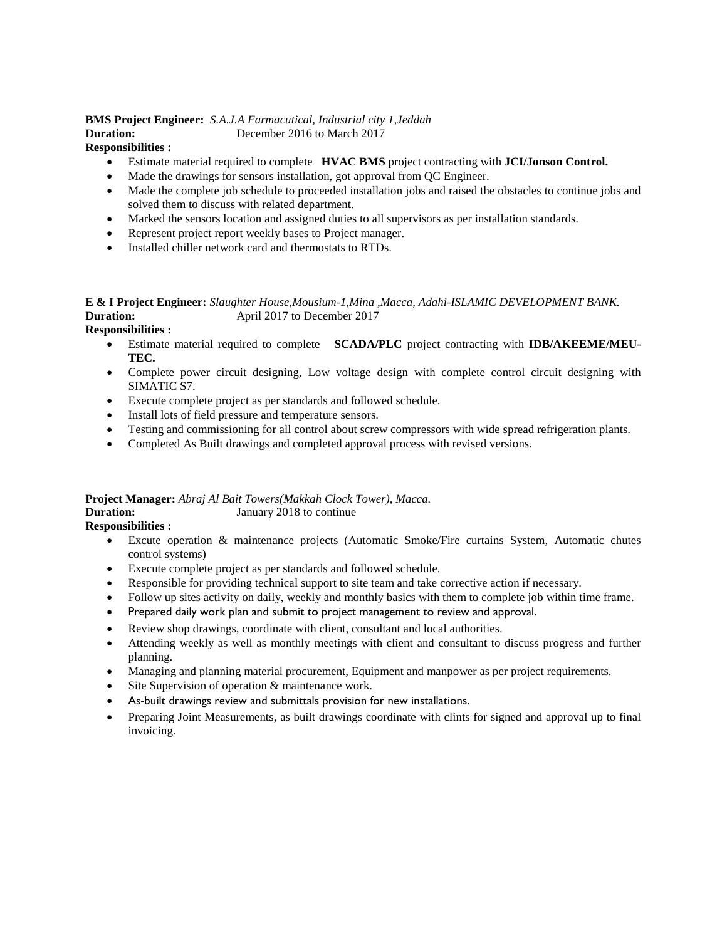#### **BMS Project Engineer:** *S.A.J.A Farmacutical, Industrial city 1,Jeddah* **Duration:** December 2016 to March 2017

#### **Responsibilities :**

- Estimate material required to complete **HVAC BMS** project contracting with **JCI/Jonson Control.**
- Made the drawings for sensors installation, got approval from QC Engineer.
- Made the complete job schedule to proceeded installation jobs and raised the obstacles to continue jobs and solved them to discuss with related department.
- Marked the sensors location and assigned duties to all supervisors as per installation standards.
- Represent project report weekly bases to Project manager.
- Installed chiller network card and thermostats to RTDs.

# **E & I Project Engineer:** *Slaughter House,Mousium-1,Mina ,Macca, Adahi-ISLAMIC DEVELOPMENT BANK.* **Duration:** April 2017 to December 2017

#### **Responsibilities :**

- Estimate material required to complete **SCADA/PLC** project contracting with **IDB/AKEEME/MEU-TEC.**
- Complete power circuit designing, Low voltage design with complete control circuit designing with SIMATIC S7.
- Execute complete project as per standards and followed schedule.
- Install lots of field pressure and temperature sensors.
- Testing and commissioning for all control about screw compressors with wide spread refrigeration plants.
- Completed As Built drawings and completed approval process with revised versions.

#### **Project Manager:** *Abraj Al Bait Towers(Makkah Clock Tower), Macca.* **Duration:** January 2018 to continue

#### **Responsibilities :**

- Excute operation & maintenance projects (Automatic Smoke/Fire curtains System, Automatic chutes control systems)
- Execute complete project as per standards and followed schedule.
- Responsible for providing technical support to site team and take corrective action if necessary.
- Follow up sites activity on daily, weekly and monthly basics with them to complete job within time frame.
- Prepared daily work plan and submit to project management to review and approval.
- Review shop drawings, coordinate with client, consultant and local authorities.
- Attending weekly as well as monthly meetings with client and consultant to discuss progress and further planning.
- Managing and planning material procurement, Equipment and manpower as per project requirements.
- Site Supervision of operation & maintenance work.
- As-built drawings review and submittals provision for new installations.
- Preparing Joint Measurements, as built drawings coordinate with clints for signed and approval up to final invoicing.